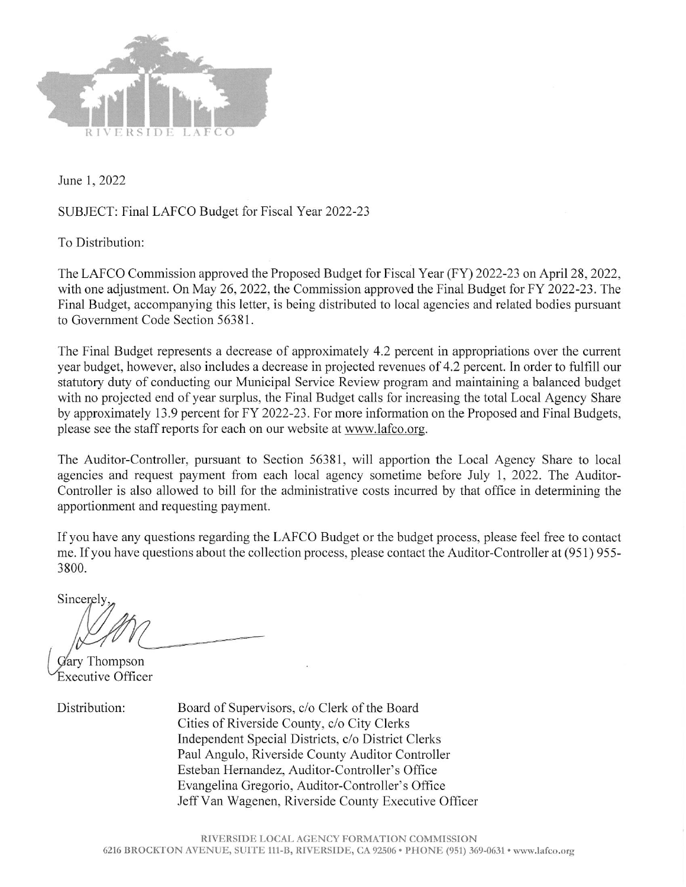

June 1, 2022

## SUBJECT: Final LAFCO Budget for Fiscal Year 2022-23

To Distribution:

The LAFCO Commission approved the Proposed Budget for Fiscal Year (FY) 2022-23 on April 28, 2022, with one adjustment. On May 26, 2022, the Commission approved the Final Budget for FY 2022-23. The Final Budget, accompanying this letter, is being distributed to local agencies and related bodies pursuant to Government Code Section 56381.

The Final Budget represents a decrease of approximately 4.2 percent in appropriations over the current year budget, however, also includes a decrease in projected revenues of 4.2 percent. In order to fulfill our statutory duty of conducting our Municipal Service Review program and maintaining a balanced budget with no projected end of year surplus, the Final Budget calls for increasing the total Local Agency Share by approximately 13.9 percent for FY 2022-23. For more information on the Proposed and Final Budgets, please see the staff reports for each on our website at www.lafco.org.

The Auditor-Controller, pursuant to Section 56381, will apportion the Local Agency Share to local agencies and request payment from each local agency sometime before July 1, 2022. The Auditor-Controller is also allowed to bill for the administrative costs incurred by that office in determining the apportionment and requesting payment.

If you have any questions regarding the LAFCO Budget or the budget process, please feel free to contact me. If you have questions about the collection process, please contact the Auditor-Controller at (951) 955-3800.

Sincerely

Gary Thompson Executive Officer

Distribution:

Board of Supervisors, c/o Clerk of the Board Cities of Riverside County, c/o City Clerks Independent Special Districts, c/o District Clerks Paul Angulo, Riverside County Auditor Controller Esteban Hernandez, Auditor-Controller's Office Evangelina Gregorio, Auditor-Controller's Office Jeff Van Wagenen, Riverside County Executive Officer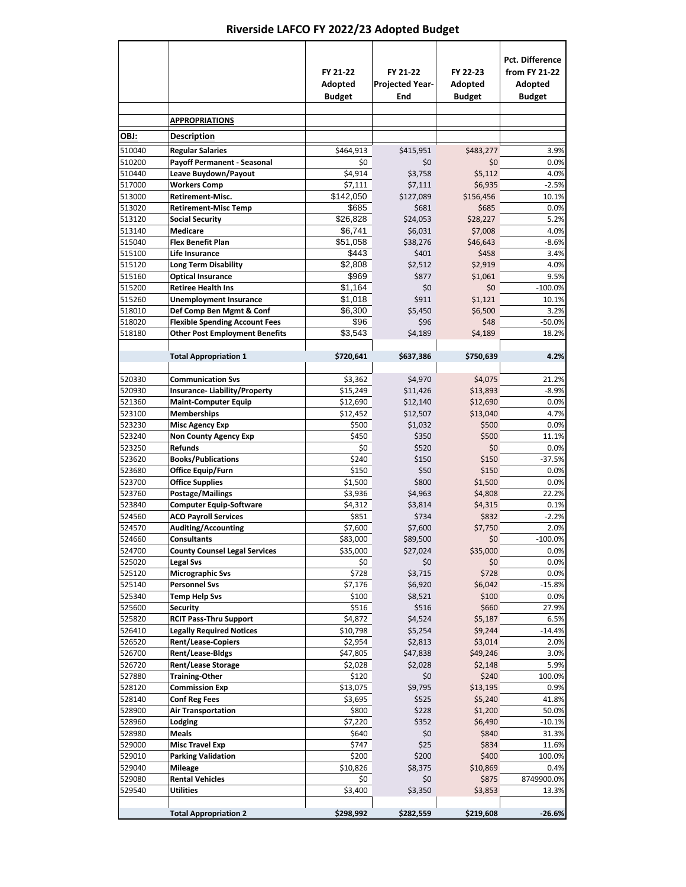## **Riverside LAFCO FY 2022/23 Adopted Budget**

|                  |                                                                   | FY 21-22<br>Adopted<br><b>Budget</b> | FY 21-22<br><b>Projected Year-</b><br>End | FY 22-23<br>Adopted<br><b>Budget</b> | <b>Pct. Difference</b><br>from FY 21-22<br>Adopted<br><b>Budget</b> |
|------------------|-------------------------------------------------------------------|--------------------------------------|-------------------------------------------|--------------------------------------|---------------------------------------------------------------------|
|                  | <b>APPROPRIATIONS</b>                                             |                                      |                                           |                                      |                                                                     |
| OBJ:             | <b>Description</b>                                                |                                      |                                           |                                      |                                                                     |
| 510040           | <b>Regular Salaries</b>                                           | \$464,913                            | \$415,951                                 | \$483,277                            | 3.9%                                                                |
| 510200           | <b>Payoff Permanent - Seasonal</b>                                | \$0                                  | \$0                                       | \$0                                  | 0.0%                                                                |
| 510440           | Leave Buydown/Payout                                              | \$4,914                              | \$3,758                                   | \$5,112                              | 4.0%                                                                |
| 517000           | <b>Workers Comp</b>                                               | \$7,111                              | \$7,111                                   | \$6,935                              | $-2.5%$                                                             |
| 513000           | <b>Retirement-Misc.</b>                                           | \$142,050                            | \$127,089                                 | \$156,456                            | 10.1%                                                               |
| 513020           | <b>Retirement-Misc Temp</b>                                       | \$685                                | \$681                                     | \$685                                | 0.0%                                                                |
| 513120<br>513140 | <b>Social Security</b><br><b>Medicare</b>                         | \$26,828<br>\$6,741                  | \$24,053<br>\$6,031                       | \$28,227<br>\$7,008                  | 5.2%<br>4.0%                                                        |
| 515040           | <b>Flex Benefit Plan</b>                                          | \$51,058                             | \$38,276                                  | \$46,643                             | $-8.6%$                                                             |
| 515100           | Life Insurance                                                    | \$443                                | \$401                                     | \$458                                | 3.4%                                                                |
| 515120           | <b>Long Term Disability</b>                                       | \$2,808                              | \$2,512                                   | \$2,919                              | 4.0%                                                                |
| 515160           | <b>Optical Insurance</b>                                          | \$969                                | \$877                                     | \$1.061                              | 9.5%                                                                |
| 515200           | <b>Retiree Health Ins</b>                                         | \$1,164                              | \$0                                       | \$0                                  | $-100.0%$                                                           |
| 515260           | <b>Unemployment Insurance</b>                                     | \$1,018                              | \$911                                     | \$1,121                              | 10.1%                                                               |
| 518010<br>518020 | Def Comp Ben Mgmt & Conf<br><b>Flexible Spending Account Fees</b> | \$6,300<br>\$96                      | \$5,450<br>\$96                           | \$6.500<br>\$48                      | 3.2%<br>$-50.0%$                                                    |
| 518180           | <b>Other Post Employment Benefits</b>                             | \$3.543                              | \$4,189                                   | \$4.189                              | 18.2%                                                               |
|                  |                                                                   |                                      |                                           |                                      |                                                                     |
|                  | <b>Total Appropriation 1</b>                                      | \$720,641                            | \$637,386                                 | \$750,639                            | 4.2%                                                                |
| 520330           | <b>Communication Svs</b>                                          | \$3,362                              | \$4,970                                   | \$4,075                              | 21.2%                                                               |
| 520930           | Insurance-Liability/Property                                      | \$15,249                             | \$11,426                                  | \$13,893                             | $-8.9%$                                                             |
| 521360           | <b>Maint-Computer Equip</b>                                       | \$12,690                             | \$12,140                                  | \$12,690                             | 0.0%                                                                |
| 523100           | <b>Memberships</b>                                                | \$12,452                             | \$12,507                                  | \$13,040                             | 4.7%                                                                |
| 523230           | <b>Misc Agency Exp</b>                                            | \$500                                | \$1,032                                   | \$500                                | 0.0%                                                                |
| 523240<br>523250 | <b>Non County Agency Exp</b><br><b>Refunds</b>                    | \$450<br>\$0                         | \$350<br>\$520                            | \$500<br>\$0                         | 11.1%<br>0.0%                                                       |
| 523620           | <b>Books/Publications</b>                                         | \$240                                | \$150                                     | \$150                                | $-37.5%$                                                            |
| 523680           | Office Equip/Furn                                                 | \$150                                | \$50                                      | \$150                                | 0.0%                                                                |
| 523700           | <b>Office Supplies</b>                                            | \$1,500                              | \$800                                     | \$1,500                              | 0.0%                                                                |
| 523760           | Postage/Mailings                                                  | \$3,936                              | \$4,963                                   | \$4,808                              | 22.2%                                                               |
| 523840           | <b>Computer Equip-Software</b>                                    | \$4,312                              | \$3,814                                   | \$4,315                              | 0.1%                                                                |
| 524560           | <b>ACO Payroll Services</b>                                       | \$851                                | \$734                                     | \$832                                | $-2.2%$                                                             |
| 524570<br>524660 | <b>Auditing/Accounting</b><br><b>Consultants</b>                  | \$7,600<br>\$83,000                  | \$7,600<br>\$89,500                       | \$7,750<br>\$0                       | 2.0%<br>$-100.0%$                                                   |
| 524700           | <b>County Counsel Legal Services</b>                              | \$35,000                             | \$27,024                                  | \$35,000                             | 0.0%                                                                |
| 525020           | <b>Legal Svs</b>                                                  | \$0                                  | \$0                                       | \$0                                  | 0.0%                                                                |
| 525120           | <b>Micrographic Svs</b>                                           | \$728                                | \$3,715                                   | \$728                                | 0.0%                                                                |
| 525140           | <b>Personnel Svs</b>                                              | \$7,176                              | \$6,920                                   | \$6,042                              | $-15.8%$                                                            |
| 525340           | Temp Help Svs                                                     | \$100                                | \$8,521                                   | \$100                                | 0.0%                                                                |
| 525600           | <b>Security</b>                                                   | \$516                                | \$516                                     | \$660                                | 27.9%                                                               |
| 525820           | <b>RCIT Pass-Thru Support</b>                                     | \$4,872                              | \$4,524                                   | \$5,187                              | 6.5%                                                                |
| 526410<br>526520 | <b>Legally Required Notices</b><br><b>Rent/Lease-Copiers</b>      | \$10,798<br>\$2,954                  | \$5,254<br>\$2,813                        | \$9,244<br>\$3,014                   | $-14.4%$<br>2.0%                                                    |
| 526700           | <b>Rent/Lease-Bldgs</b>                                           | \$47,805                             | \$47,838                                  | \$49,246                             | 3.0%                                                                |
| 526720           | <b>Rent/Lease Storage</b>                                         | \$2,028                              | \$2,028                                   | \$2,148                              | 5.9%                                                                |
| 527880           | <b>Training-Other</b>                                             | \$120                                | \$0                                       | \$240                                | 100.0%                                                              |
| 528120           | <b>Commission Exp</b>                                             | \$13,075                             | \$9,795                                   | \$13,195                             | 0.9%                                                                |
| 528140           | <b>Conf Reg Fees</b>                                              | \$3,695                              | \$525                                     | \$5,240                              | 41.8%                                                               |
| 528900           | <b>Air Transportation</b>                                         | \$800                                | \$228                                     | \$1,200                              | 50.0%                                                               |
| 528960<br>528980 | Lodging<br><b>Meals</b>                                           | \$7,220<br>\$640                     | \$352<br>\$0                              | \$6,490<br>\$840                     | $-10.1%$                                                            |
| 529000           | <b>Misc Travel Exp</b>                                            | \$747                                | \$25                                      | \$834                                | 31.3%<br>11.6%                                                      |
| 529010           | <b>Parking Validation</b>                                         | \$200                                | \$200                                     | \$400                                | 100.0%                                                              |
| 529040           | <b>Mileage</b>                                                    | \$10,826                             | \$8,375                                   | \$10,869                             | 0.4%                                                                |
| 529080           | <b>Rental Vehicles</b>                                            | \$0                                  | \$0                                       | \$875                                | 8749900.0%                                                          |
| 529540           | Utilities                                                         | \$3,400                              | \$3,350                                   | \$3,853                              | 13.3%                                                               |
|                  | <b>Total Appropriation 2</b>                                      | \$298,992                            | \$282,559                                 | \$219,608                            | $-26.6%$                                                            |